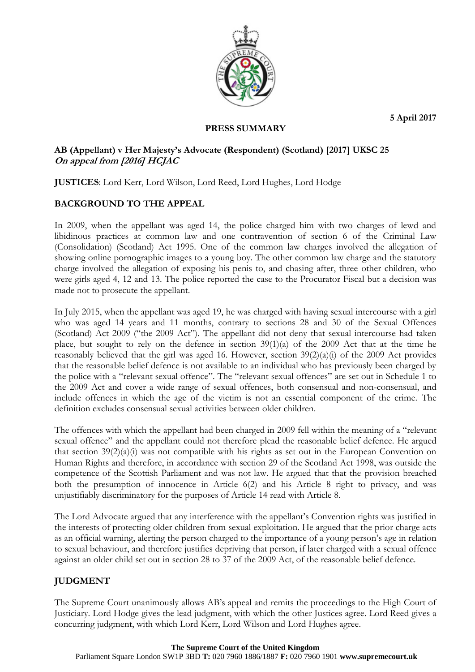**5 April 2017**



# **PRESS SUMMARY**

# **AB (Appellant) v Her Majesty's Advocate (Respondent) (Scotland) [2017] UKSC 25 On appeal from [2016] HCJAC**

**JUSTICES**: Lord Kerr, Lord Wilson, Lord Reed, Lord Hughes, Lord Hodge

# **BACKGROUND TO THE APPEAL**

In 2009, when the appellant was aged 14, the police charged him with two charges of lewd and libidinous practices at common law and one contravention of section 6 of the Criminal Law (Consolidation) (Scotland) Act 1995. One of the common law charges involved the allegation of showing online pornographic images to a young boy. The other common law charge and the statutory charge involved the allegation of exposing his penis to, and chasing after, three other children, who were girls aged 4, 12 and 13. The police reported the case to the Procurator Fiscal but a decision was made not to prosecute the appellant.

In July 2015, when the appellant was aged 19, he was charged with having sexual intercourse with a girl who was aged 14 years and 11 months, contrary to sections 28 and 30 of the Sexual Offences (Scotland) Act 2009 ("the 2009 Act"). The appellant did not deny that sexual intercourse had taken place, but sought to rely on the defence in section 39(1)(a) of the 2009 Act that at the time he reasonably believed that the girl was aged 16. However, section 39(2)(a)(i) of the 2009 Act provides that the reasonable belief defence is not available to an individual who has previously been charged by the police with a "relevant sexual offence". The "relevant sexual offences" are set out in Schedule 1 to the 2009 Act and cover a wide range of sexual offences, both consensual and non-consensual, and include offences in which the age of the victim is not an essential component of the crime. The definition excludes consensual sexual activities between older children.

The offences with which the appellant had been charged in 2009 fell within the meaning of a "relevant sexual offence" and the appellant could not therefore plead the reasonable belief defence. He argued that section 39(2)(a)(i) was not compatible with his rights as set out in the European Convention on Human Rights and therefore, in accordance with section 29 of the Scotland Act 1998, was outside the competence of the Scottish Parliament and was not law. He argued that that the provision breached both the presumption of innocence in Article 6(2) and his Article 8 right to privacy, and was unjustifiably discriminatory for the purposes of Article 14 read with Article 8.

The Lord Advocate argued that any interference with the appellant's Convention rights was justified in the interests of protecting older children from sexual exploitation. He argued that the prior charge acts as an official warning, alerting the person charged to the importance of a young person's age in relation to sexual behaviour, and therefore justifies depriving that person, if later charged with a sexual offence against an older child set out in section 28 to 37 of the 2009 Act, of the reasonable belief defence.

# **JUDGMENT**

The Supreme Court unanimously allows AB's appeal and remits the proceedings to the High Court of Justiciary. Lord Hodge gives the lead judgment, with which the other Justices agree. Lord Reed gives a concurring judgment, with which Lord Kerr, Lord Wilson and Lord Hughes agree.